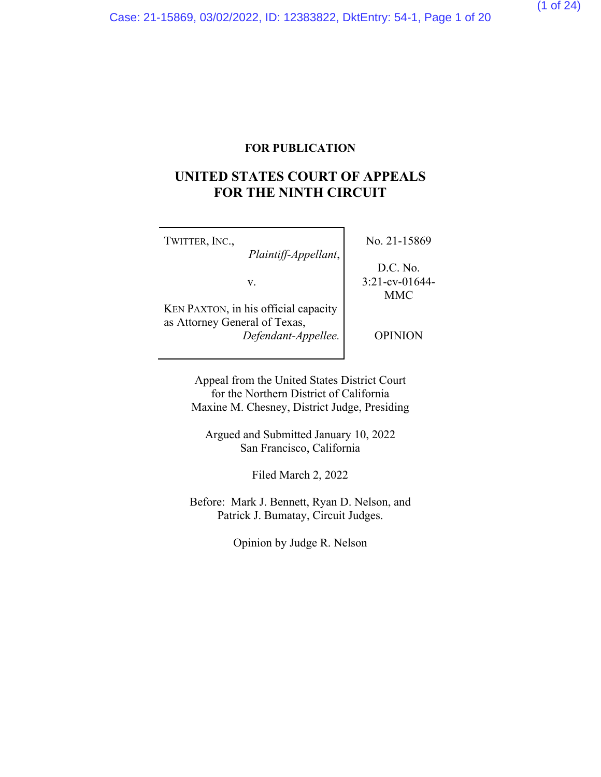### **FOR PUBLICATION**

## **UNITED STATES COURT OF APPEALS FOR THE NINTH CIRCUIT**

| TWITTER, INC.,<br>Plaintiff-Appellant,                                | No. 21-15869             |
|-----------------------------------------------------------------------|--------------------------|
|                                                                       | D.C. No.                 |
| V.                                                                    | $3:21$ -cv-01644-<br>MMC |
| KEN PAXTON, in his official capacity<br>as Attorney General of Texas, |                          |
| Defendant-Appellee.                                                   | OPINION                  |

Appeal from the United States District Court for the Northern District of California Maxine M. Chesney, District Judge, Presiding

Argued and Submitted January 10, 2022 San Francisco, California

Filed March 2, 2022

Before: Mark J. Bennett, Ryan D. Nelson, and Patrick J. Bumatay, Circuit Judges.

Opinion by Judge R. Nelson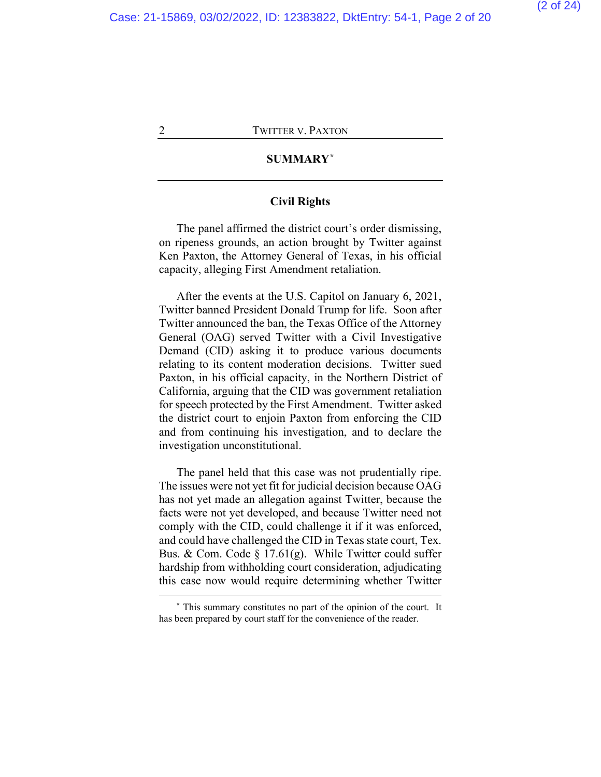### **SUMMARY[\\*](#page-18-0)**

### **Civil Rights**

The panel affirmed the district court's order dismissing, on ripeness grounds, an action brought by Twitter against Ken Paxton, the Attorney General of Texas, in his official capacity, alleging First Amendment retaliation.

After the events at the U.S. Capitol on January 6, 2021, Twitter banned President Donald Trump for life. Soon after Twitter announced the ban, the Texas Office of the Attorney General (OAG) served Twitter with a Civil Investigative Demand (CID) asking it to produce various documents relating to its content moderation decisions. Twitter sued Paxton, in his official capacity, in the Northern District of California, arguing that the CID was government retaliation for speech protected by the First Amendment. Twitter asked the district court to enjoin Paxton from enforcing the CID and from continuing his investigation, and to declare the investigation unconstitutional.

The panel held that this case was not prudentially ripe. The issues were not yet fit for judicial decision because OAG has not yet made an allegation against Twitter, because the facts were not yet developed, and because Twitter need not comply with the CID, could challenge it if it was enforced, and could have challenged the CID in Texas state court, Tex. Bus. & Com. Code § 17.61(g). While Twitter could suffer hardship from withholding court consideration, adjudicating this case now would require determining whether Twitter

**<sup>\*</sup>** This summary constitutes no part of the opinion of the court. It has been prepared by court staff for the convenience of the reader.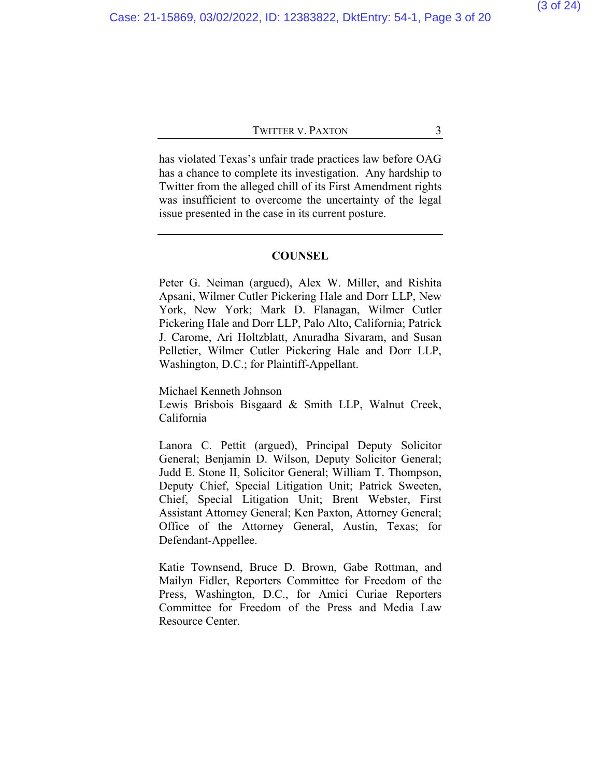has violated Texas's unfair trade practices law before OAG has a chance to complete its investigation. Any hardship to Twitter from the alleged chill of its First Amendment rights was insufficient to overcome the uncertainty of the legal issue presented in the case in its current posture.

#### **COUNSEL**

Peter G. Neiman (argued), Alex W. Miller, and Rishita Apsani, Wilmer Cutler Pickering Hale and Dorr LLP, New York, New York; Mark D. Flanagan, Wilmer Cutler Pickering Hale and Dorr LLP, Palo Alto, California; Patrick J. Carome, Ari Holtzblatt, Anuradha Sivaram, and Susan Pelletier, Wilmer Cutler Pickering Hale and Dorr LLP, Washington, D.C.; for Plaintiff-Appellant.

Michael Kenneth Johnson Lewis Brisbois Bisgaard & Smith LLP, Walnut Creek, California

Lanora C. Pettit (argued), Principal Deputy Solicitor General; Benjamin D. Wilson, Deputy Solicitor General; Judd E. Stone II, Solicitor General; William T. Thompson, Deputy Chief, Special Litigation Unit; Patrick Sweeten, Chief, Special Litigation Unit; Brent Webster, First Assistant Attorney General; Ken Paxton, Attorney General; Office of the Attorney General, Austin, Texas; for Defendant-Appellee.

Katie Townsend, Bruce D. Brown, Gabe Rottman, and Mailyn Fidler, Reporters Committee for Freedom of the Press, Washington, D.C., for Amici Curiae Reporters Committee for Freedom of the Press and Media Law Resource Center.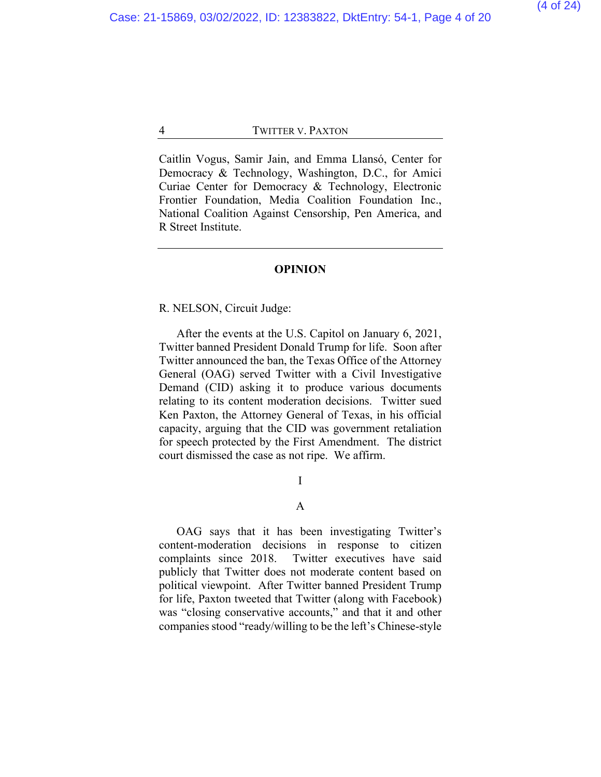Caitlin Vogus, Samir Jain, and Emma Llansó, Center for Democracy & Technology, Washington, D.C., for Amici Curiae Center for Democracy & Technology, Electronic Frontier Foundation, Media Coalition Foundation Inc., National Coalition Against Censorship, Pen America, and R Street Institute.

#### **OPINION**

R. NELSON, Circuit Judge:

After the events at the U.S. Capitol on January 6, 2021, Twitter banned President Donald Trump for life. Soon after Twitter announced the ban, the Texas Office of the Attorney General (OAG) served Twitter with a Civil Investigative Demand (CID) asking it to produce various documents relating to its content moderation decisions. Twitter sued Ken Paxton, the Attorney General of Texas, in his official capacity, arguing that the CID was government retaliation for speech protected by the First Amendment. The district court dismissed the case as not ripe. We affirm.

I

#### A

OAG says that it has been investigating Twitter's content-moderation decisions in response to citizen complaints since 2018. Twitter executives have said publicly that Twitter does not moderate content based on political viewpoint. After Twitter banned President Trump for life, Paxton tweeted that Twitter (along with Facebook) was "closing conservative accounts," and that it and other companies stood "ready/willing to be the left's Chinese-style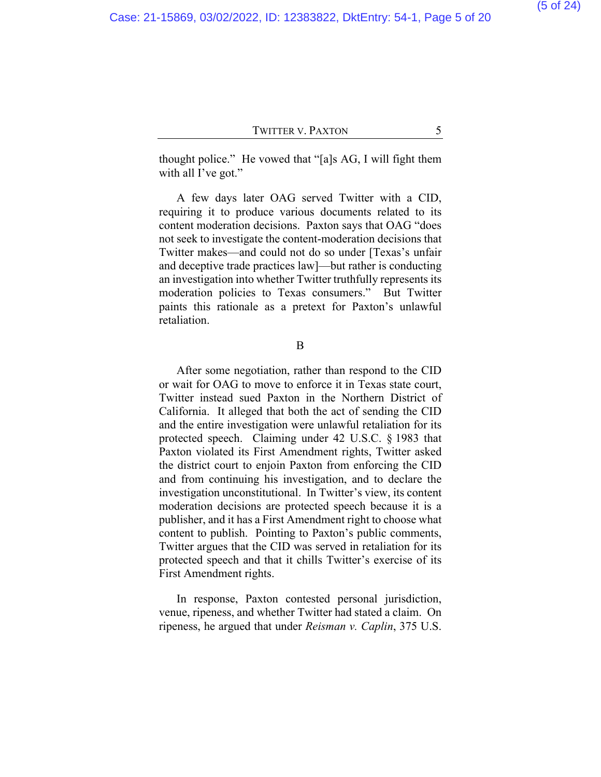thought police." He vowed that "[a]s AG, I will fight them with all I've got."

A few days later OAG served Twitter with a CID, requiring it to produce various documents related to its content moderation decisions. Paxton says that OAG "does not seek to investigate the content-moderation decisions that Twitter makes—and could not do so under [Texas's unfair and deceptive trade practices law]—but rather is conducting an investigation into whether Twitter truthfully represents its moderation policies to Texas consumers." But Twitter paints this rationale as a pretext for Paxton's unlawful retaliation.

B

After some negotiation, rather than respond to the CID or wait for OAG to move to enforce it in Texas state court, Twitter instead sued Paxton in the Northern District of California. It alleged that both the act of sending the CID and the entire investigation were unlawful retaliation for its protected speech. Claiming under 42 U.S.C. § 1983 that Paxton violated its First Amendment rights, Twitter asked the district court to enjoin Paxton from enforcing the CID and from continuing his investigation, and to declare the investigation unconstitutional. In Twitter's view, its content moderation decisions are protected speech because it is a publisher, and it has a First Amendment right to choose what content to publish. Pointing to Paxton's public comments, Twitter argues that the CID was served in retaliation for its protected speech and that it chills Twitter's exercise of its First Amendment rights.

In response, Paxton contested personal jurisdiction, venue, ripeness, and whether Twitter had stated a claim. On ripeness, he argued that under *Reisman v. Caplin*, 375 U.S.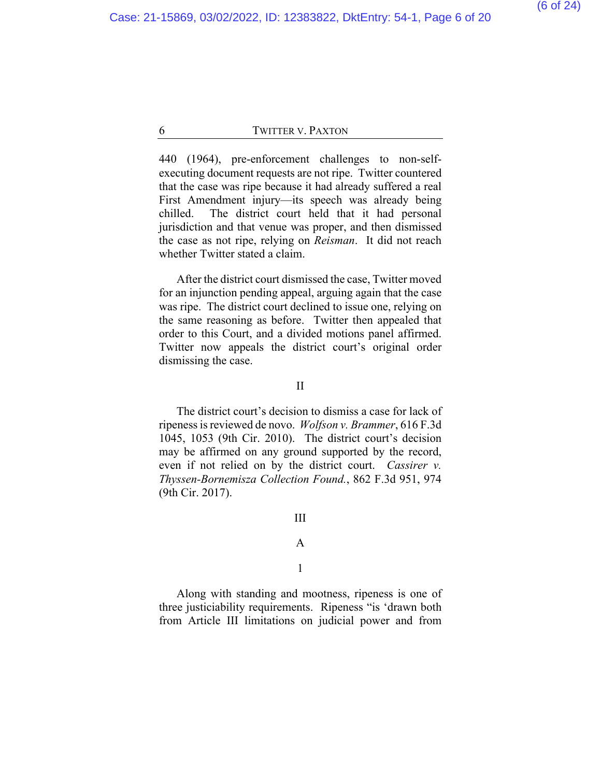440 (1964), pre-enforcement challenges to non-selfexecuting document requests are not ripe. Twitter countered that the case was ripe because it had already suffered a real First Amendment injury—its speech was already being chilled. The district court held that it had personal jurisdiction and that venue was proper, and then dismissed the case as not ripe, relying on *Reisman*. It did not reach whether Twitter stated a claim.

After the district court dismissed the case, Twitter moved for an injunction pending appeal, arguing again that the case was ripe. The district court declined to issue one, relying on the same reasoning as before. Twitter then appealed that order to this Court, and a divided motions panel affirmed. Twitter now appeals the district court's original order dismissing the case.

#### II

The district court's decision to dismiss a case for lack of ripeness is reviewed de novo. *Wolfson v. Brammer*, 616 F.3d 1045, 1053 (9th Cir. 2010). The district court's decision may be affirmed on any ground supported by the record, even if not relied on by the district court. *Cassirer v. Thyssen-Bornemisza Collection Found.*, 862 F.3d 951, 974 (9th Cir. 2017).

#### III

### A

### 1

Along with standing and mootness, ripeness is one of three justiciability requirements. Ripeness "is 'drawn both from Article III limitations on judicial power and from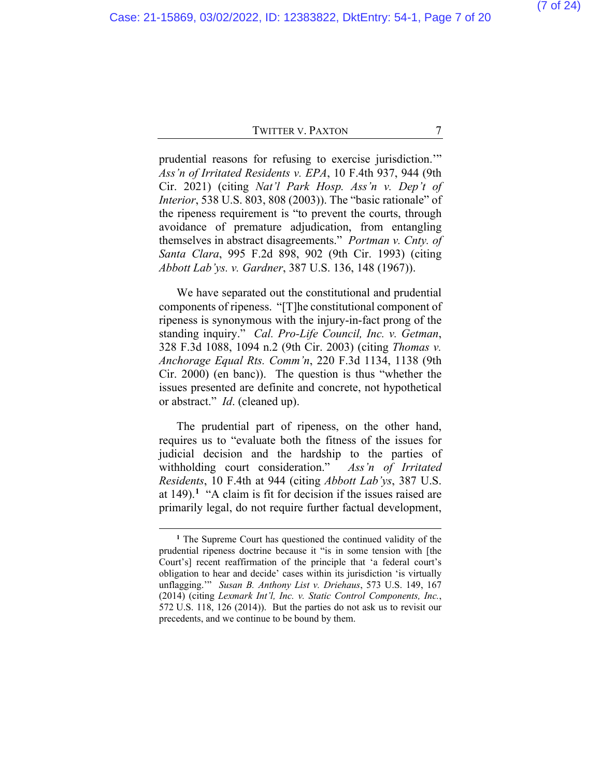prudential reasons for refusing to exercise jurisdiction.'" *Ass'n of Irritated Residents v. EPA*, 10 F.4th 937, 944 (9th Cir. 2021) (citing *Nat'l Park Hosp. Ass'n v. Dep't of Interior*, 538 U.S. 803, 808 (2003)). The "basic rationale" of the ripeness requirement is "to prevent the courts, through avoidance of premature adjudication, from entangling themselves in abstract disagreements." *Portman v. Cnty. of Santa Clara*, 995 F.2d 898, 902 (9th Cir. 1993) (citing *Abbott Lab'ys. v. Gardner*, 387 U.S. 136, 148 (1967)).

We have separated out the constitutional and prudential components of ripeness. "[T]he constitutional component of ripeness is synonymous with the injury-in-fact prong of the standing inquiry." *Cal. Pro-Life Council, Inc. v. Getman*, 328 F.3d 1088, 1094 n.2 (9th Cir. 2003) (citing *Thomas v. Anchorage Equal Rts. Comm'n*, 220 F.3d 1134, 1138 (9th Cir. 2000) (en banc)). The question is thus "whether the issues presented are definite and concrete, not hypothetical or abstract." *Id*. (cleaned up).

The prudential part of ripeness, on the other hand, requires us to "evaluate both the fitness of the issues for judicial decision and the hardship to the parties of withholding court consideration." *Ass'n of Irritated Residents*, 10 F.4th at 944 (citing *Abbott Lab'ys*, 387 U.S. at 149).**[1](#page-18-0)** "A claim is fit for decision if the issues raised are primarily legal, do not require further factual development,

**<sup>1</sup>** The Supreme Court has questioned the continued validity of the prudential ripeness doctrine because it "is in some tension with [the Court's] recent reaffirmation of the principle that 'a federal court's obligation to hear and decide' cases within its jurisdiction 'is virtually unflagging.'" *Susan B. Anthony List v. Driehaus*, 573 U.S. 149, 167 (2014) (citing *Lexmark Int'l, Inc. v. Static Control Components, Inc.*, 572 U.S. 118, 126 (2014)). But the parties do not ask us to revisit our precedents, and we continue to be bound by them.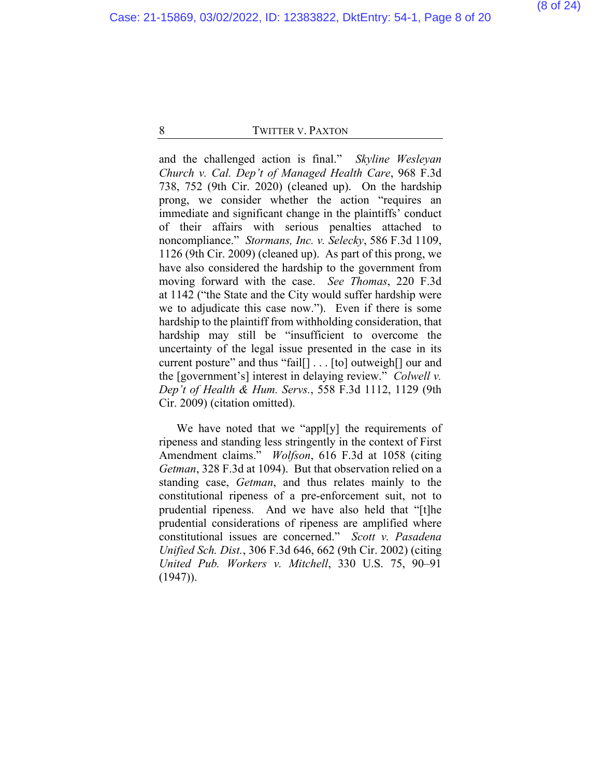and the challenged action is final." *Skyline Wesleyan Church v. Cal. Dep't of Managed Health Care*, 968 F.3d 738, 752 (9th Cir. 2020) (cleaned up). On the hardship prong, we consider whether the action "requires an immediate and significant change in the plaintiffs' conduct of their affairs with serious penalties attached to noncompliance." *Stormans, Inc. v. Selecky*, 586 F.3d 1109, 1126 (9th Cir. 2009) (cleaned up). As part of this prong, we have also considered the hardship to the government from moving forward with the case. *See Thomas*, 220 F.3d at 1142 ("the State and the City would suffer hardship were we to adjudicate this case now."). Even if there is some hardship to the plaintiff from withholding consideration, that hardship may still be "insufficient to overcome the uncertainty of the legal issue presented in the case in its current posture" and thus "fail[] . . . [to] outweigh[] our and the [government's] interest in delaying review." *Colwell v. Dep't of Health & Hum. Servs.*, 558 F.3d 1112, 1129 (9th Cir. 2009) (citation omitted).

We have noted that we "appl[y] the requirements of ripeness and standing less stringently in the context of First Amendment claims." *Wolfson*, 616 F.3d at 1058 (citing *Getman*, 328 F.3d at 1094). But that observation relied on a standing case, *Getman*, and thus relates mainly to the constitutional ripeness of a pre-enforcement suit, not to prudential ripeness. And we have also held that "[t]he prudential considerations of ripeness are amplified where constitutional issues are concerned." *Scott v. Pasadena Unified Sch. Dist.*, 306 F.3d 646, 662 (9th Cir. 2002) (citing *United Pub. Workers v. Mitchell*, 330 U.S. 75, 90–91  $(1947)$ ).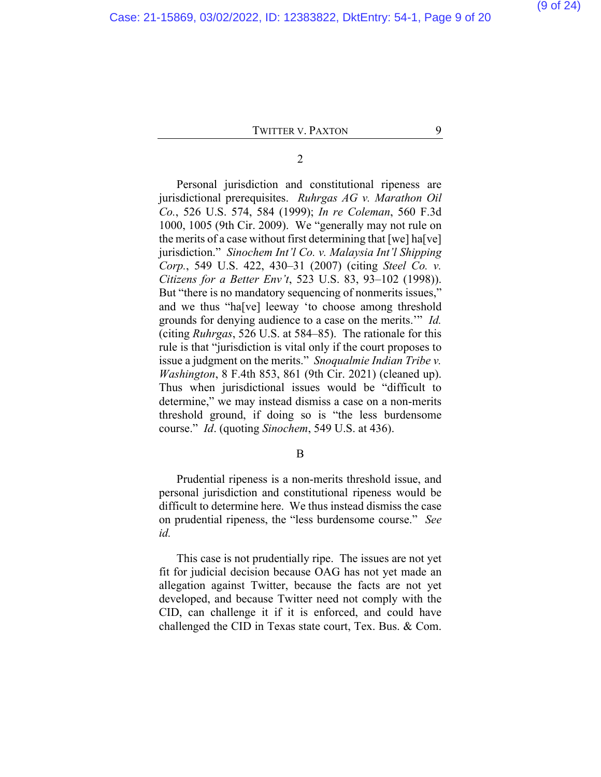2

Personal jurisdiction and constitutional ripeness are jurisdictional prerequisites. *Ruhrgas AG v. Marathon Oil Co.*, 526 U.S. 574, 584 (1999); *In re Coleman*, 560 F.3d 1000, 1005 (9th Cir. 2009). We "generally may not rule on the merits of a case without first determining that  $[we]$  ha $[ve]$ jurisdiction." *Sinochem Int'l Co. v. Malaysia Int'l Shipping Corp.*, 549 U.S. 422, 430–31 (2007) (citing *Steel Co. v. Citizens for a Better Env't*, 523 U.S. 83, 93–102 (1998)). But "there is no mandatory sequencing of nonmerits issues," and we thus "ha[ve] leeway 'to choose among threshold grounds for denying audience to a case on the merits.'" *Id.*  (citing *Ruhrgas*, 526 U.S. at 584–85). The rationale for this rule is that "jurisdiction is vital only if the court proposes to issue a judgment on the merits." *Snoqualmie Indian Tribe v. Washington*, 8 F.4th 853, 861 (9th Cir. 2021) (cleaned up). Thus when jurisdictional issues would be "difficult to determine," we may instead dismiss a case on a non-merits threshold ground, if doing so is "the less burdensome course." *Id*. (quoting *Sinochem*, 549 U.S. at 436).

B

Prudential ripeness is a non-merits threshold issue, and personal jurisdiction and constitutional ripeness would be difficult to determine here. We thus instead dismiss the case on prudential ripeness, the "less burdensome course." *See id.*

This case is not prudentially ripe. The issues are not yet fit for judicial decision because OAG has not yet made an allegation against Twitter, because the facts are not yet developed, and because Twitter need not comply with the CID, can challenge it if it is enforced, and could have challenged the CID in Texas state court, Tex. Bus. & Com.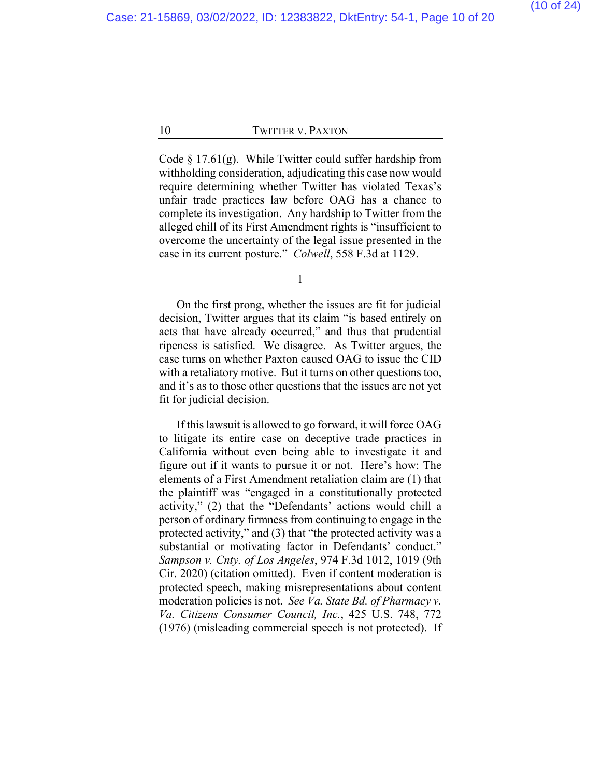Code § 17.61(g). While Twitter could suffer hardship from withholding consideration, adjudicating this case now would require determining whether Twitter has violated Texas's unfair trade practices law before OAG has a chance to complete its investigation. Any hardship to Twitter from the alleged chill of its First Amendment rights is "insufficient to overcome the uncertainty of the legal issue presented in the case in its current posture." *Colwell*, 558 F.3d at 1129.

1

On the first prong, whether the issues are fit for judicial decision, Twitter argues that its claim "is based entirely on acts that have already occurred," and thus that prudential ripeness is satisfied. We disagree. As Twitter argues, the case turns on whether Paxton caused OAG to issue the CID with a retaliatory motive. But it turns on other questions too, and it's as to those other questions that the issues are not yet fit for judicial decision.

If this lawsuit is allowed to go forward, it will force OAG to litigate its entire case on deceptive trade practices in California without even being able to investigate it and figure out if it wants to pursue it or not. Here's how: The elements of a First Amendment retaliation claim are (1) that the plaintiff was "engaged in a constitutionally protected activity," (2) that the "Defendants' actions would chill a person of ordinary firmness from continuing to engage in the protected activity," and (3) that "the protected activity was a substantial or motivating factor in Defendants' conduct." *Sampson v. Cnty. of Los Angeles*, 974 F.3d 1012, 1019 (9th Cir. 2020) (citation omitted). Even if content moderation is protected speech, making misrepresentations about content moderation policies is not. *See Va. State Bd. of Pharmacy v. Va. Citizens Consumer Council, Inc.*, 425 U.S. 748, 772 (1976) (misleading commercial speech is not protected). If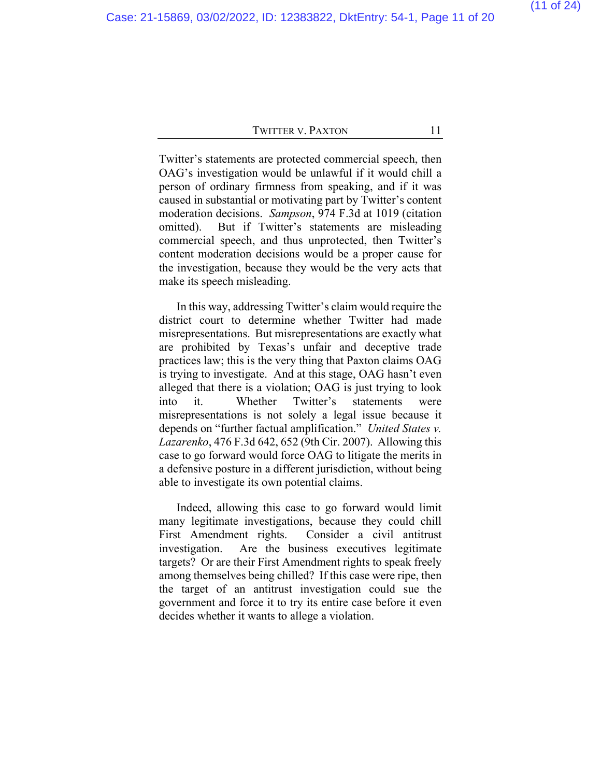Twitter's statements are protected commercial speech, then OAG's investigation would be unlawful if it would chill a person of ordinary firmness from speaking, and if it was caused in substantial or motivating part by Twitter's content moderation decisions. *Sampson*, 974 F.3d at 1019 (citation omitted). But if Twitter's statements are misleading commercial speech, and thus unprotected, then Twitter's content moderation decisions would be a proper cause for the investigation, because they would be the very acts that make its speech misleading.

In this way, addressing Twitter's claim would require the district court to determine whether Twitter had made misrepresentations. But misrepresentations are exactly what are prohibited by Texas's unfair and deceptive trade practices law; this is the very thing that Paxton claims OAG is trying to investigate. And at this stage, OAG hasn't even alleged that there is a violation; OAG is just trying to look into it. Whether Twitter's statements were misrepresentations is not solely a legal issue because it depends on "further factual amplification." *United States v. Lazarenko*, 476 F.3d 642, 652 (9th Cir. 2007). Allowing this case to go forward would force OAG to litigate the merits in a defensive posture in a different jurisdiction, without being able to investigate its own potential claims.

Indeed, allowing this case to go forward would limit many legitimate investigations, because they could chill First Amendment rights. Consider a civil antitrust investigation. Are the business executives legitimate targets? Or are their First Amendment rights to speak freely among themselves being chilled? If this case were ripe, then the target of an antitrust investigation could sue the government and force it to try its entire case before it even decides whether it wants to allege a violation.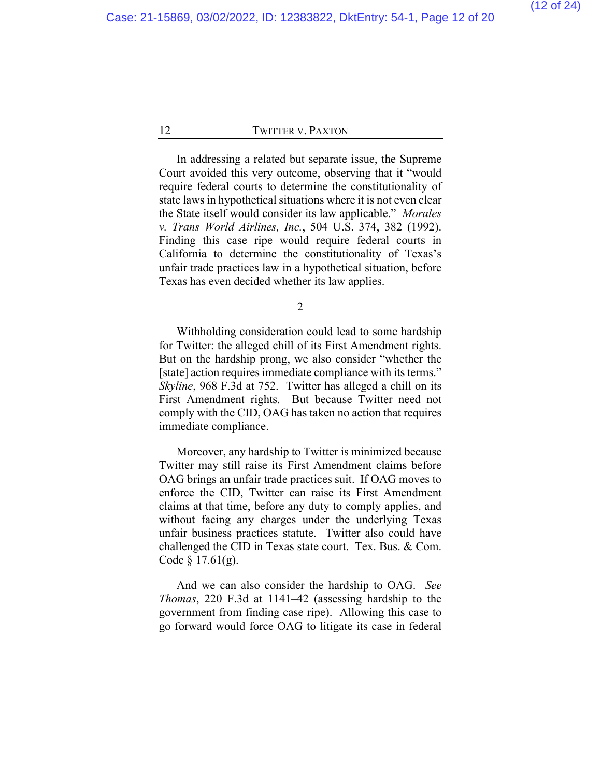In addressing a related but separate issue, the Supreme Court avoided this very outcome, observing that it "would require federal courts to determine the constitutionality of state laws in hypothetical situations where it is not even clear the State itself would consider its law applicable." *Morales v. Trans World Airlines, Inc.*, 504 U.S. 374, 382 (1992). Finding this case ripe would require federal courts in California to determine the constitutionality of Texas's unfair trade practices law in a hypothetical situation, before Texas has even decided whether its law applies.

2

Withholding consideration could lead to some hardship for Twitter: the alleged chill of its First Amendment rights. But on the hardship prong, we also consider "whether the [state] action requires immediate compliance with its terms." *Skyline*, 968 F.3d at 752. Twitter has alleged a chill on its First Amendment rights. But because Twitter need not comply with the CID, OAG has taken no action that requires immediate compliance.

Moreover, any hardship to Twitter is minimized because Twitter may still raise its First Amendment claims before OAG brings an unfair trade practices suit. If OAG moves to enforce the CID, Twitter can raise its First Amendment claims at that time, before any duty to comply applies, and without facing any charges under the underlying Texas unfair business practices statute. Twitter also could have challenged the CID in Texas state court. Tex. Bus. & Com. Code § 17.61(g).

And we can also consider the hardship to OAG. *See Thomas*, 220 F.3d at 1141–42 (assessing hardship to the government from finding case ripe). Allowing this case to go forward would force OAG to litigate its case in federal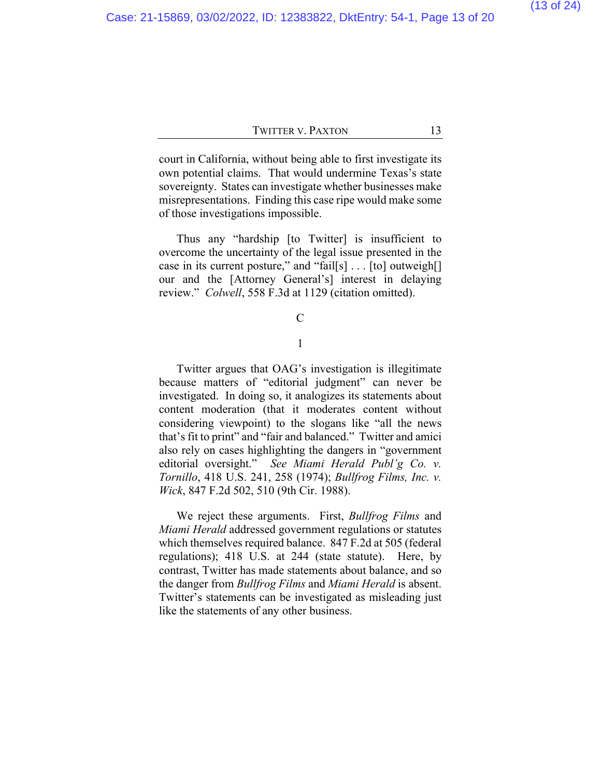court in California, without being able to first investigate its own potential claims. That would undermine Texas's state sovereignty. States can investigate whether businesses make misrepresentations. Finding this case ripe would make some of those investigations impossible.

Thus any "hardship [to Twitter] is insufficient to overcome the uncertainty of the legal issue presented in the case in its current posture," and "fail[s] . . . [to] outweigh[] our and the [Attorney General's] interest in delaying review." *Colwell*, 558 F.3d at 1129 (citation omitted).

C

### 1

Twitter argues that OAG's investigation is illegitimate because matters of "editorial judgment" can never be investigated. In doing so, it analogizes its statements about content moderation (that it moderates content without considering viewpoint) to the slogans like "all the news that's fit to print" and "fair and balanced." Twitter and amici also rely on cases highlighting the dangers in "government editorial oversight." *See Miami Herald Publ'g Co. v. Tornillo*, 418 U.S. 241, 258 (1974); *Bullfrog Films, Inc. v. Wick*, 847 F.2d 502, 510 (9th Cir. 1988).

We reject these arguments. First, *Bullfrog Films* and *Miami Herald* addressed government regulations or statutes which themselves required balance. 847 F.2d at 505 (federal regulations); 418 U.S. at 244 (state statute). Here, by contrast, Twitter has made statements about balance, and so the danger from *Bullfrog Films* and *Miami Herald* is absent. Twitter's statements can be investigated as misleading just like the statements of any other business.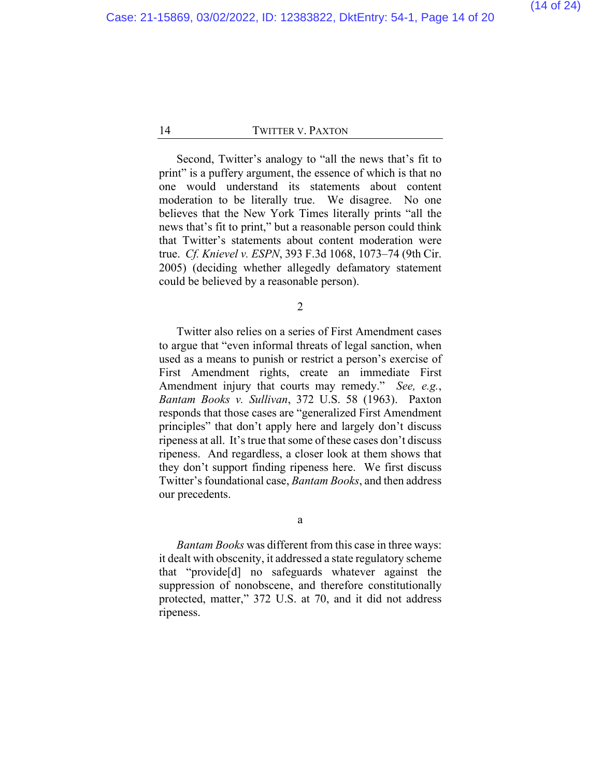Second, Twitter's analogy to "all the news that's fit to print" is a puffery argument, the essence of which is that no one would understand its statements about content moderation to be literally true. We disagree. No one believes that the New York Times literally prints "all the news that's fit to print," but a reasonable person could think that Twitter's statements about content moderation were true. *Cf. Knievel v. ESPN*, 393 F.3d 1068, 1073–74 (9th Cir. 2005) (deciding whether allegedly defamatory statement could be believed by a reasonable person).

2

Twitter also relies on a series of First Amendment cases to argue that "even informal threats of legal sanction, when used as a means to punish or restrict a person's exercise of First Amendment rights, create an immediate First Amendment injury that courts may remedy." *See, e.g.*, *Bantam Books v. Sullivan*, 372 U.S. 58 (1963). Paxton responds that those cases are "generalized First Amendment principles" that don't apply here and largely don't discuss ripeness at all. It's true that some of these cases don't discuss ripeness. And regardless, a closer look at them shows that they don't support finding ripeness here. We first discuss Twitter's foundational case, *Bantam Books*, and then address our precedents.

a

*Bantam Books* was different from this case in three ways: it dealt with obscenity, it addressed a state regulatory scheme that "provide[d] no safeguards whatever against the suppression of nonobscene, and therefore constitutionally protected, matter," 372 U.S. at 70, and it did not address ripeness.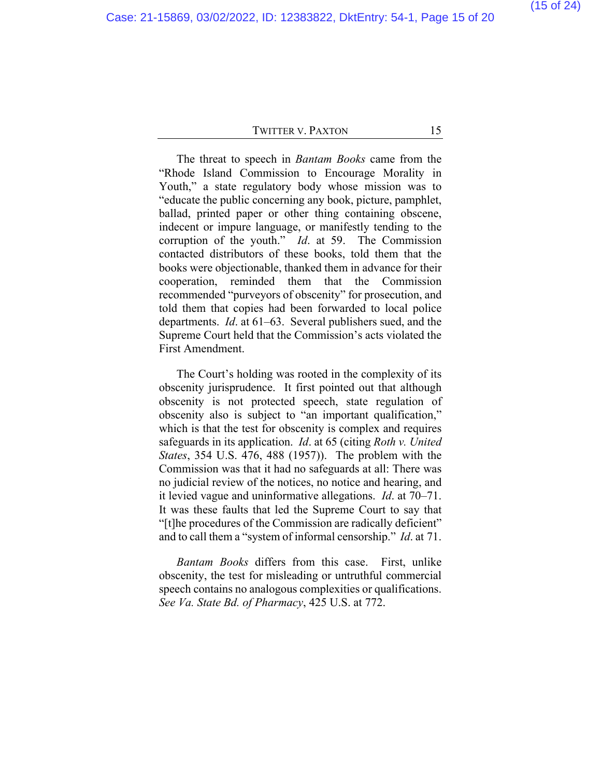The threat to speech in *Bantam Books* came from the "Rhode Island Commission to Encourage Morality in Youth," a state regulatory body whose mission was to "educate the public concerning any book, picture, pamphlet, ballad, printed paper or other thing containing obscene, indecent or impure language, or manifestly tending to the corruption of the youth." *Id*. at 59. The Commission contacted distributors of these books, told them that the books were objectionable, thanked them in advance for their cooperation, reminded them that the Commission recommended "purveyors of obscenity" for prosecution, and told them that copies had been forwarded to local police departments. *Id*. at 61–63. Several publishers sued, and the Supreme Court held that the Commission's acts violated the First Amendment.

The Court's holding was rooted in the complexity of its obscenity jurisprudence. It first pointed out that although obscenity is not protected speech, state regulation of obscenity also is subject to "an important qualification," which is that the test for obscenity is complex and requires safeguards in its application. *Id*. at 65 (citing *Roth v. United States*, 354 U.S. 476, 488 (1957)). The problem with the Commission was that it had no safeguards at all: There was no judicial review of the notices, no notice and hearing, and it levied vague and uninformative allegations. *Id*. at 70–71. It was these faults that led the Supreme Court to say that "[t]he procedures of the Commission are radically deficient" and to call them a "system of informal censorship." *Id*. at 71.

*Bantam Books* differs from this case. First, unlike obscenity, the test for misleading or untruthful commercial speech contains no analogous complexities or qualifications. *See Va. State Bd. of Pharmacy*, 425 U.S. at 772.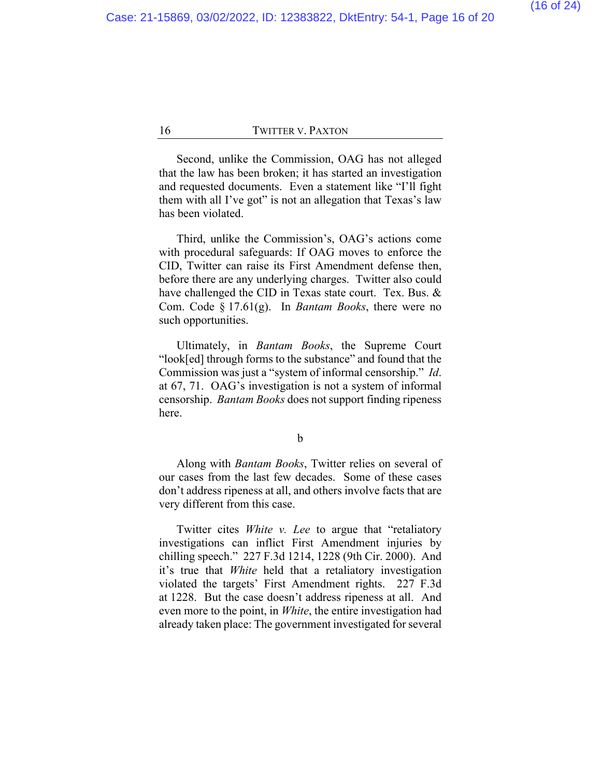Second, unlike the Commission, OAG has not alleged that the law has been broken; it has started an investigation and requested documents.Even a statement like "I'll fight them with all I've got" is not an allegation that Texas's law has been violated.

Third, unlike the Commission's, OAG's actions come with procedural safeguards: If OAG moves to enforce the CID, Twitter can raise its First Amendment defense then, before there are any underlying charges. Twitter also could have challenged the CID in Texas state court. Tex. Bus. & Com. Code § 17.61(g). In *Bantam Books*, there were no such opportunities.

Ultimately, in *Bantam Books*, the Supreme Court "look[ed] through forms to the substance" and found that the Commission was just a "system of informal censorship." *Id*. at 67, 71. OAG's investigation is not a system of informal censorship. *Bantam Books* does not support finding ripeness here.

b

Along with *Bantam Books*, Twitter relies on several of our cases from the last few decades. Some of these cases don't address ripeness at all, and others involve facts that are very different from this case.

Twitter cites *White v. Lee* to argue that "retaliatory investigations can inflict First Amendment injuries by chilling speech." 227 F.3d 1214, 1228 (9th Cir. 2000). And it's true that *White* held that a retaliatory investigation violated the targets' First Amendment rights. 227 F.3d at 1228. But the case doesn't address ripeness at all. And even more to the point, in *White*, the entire investigation had already taken place: The government investigated for several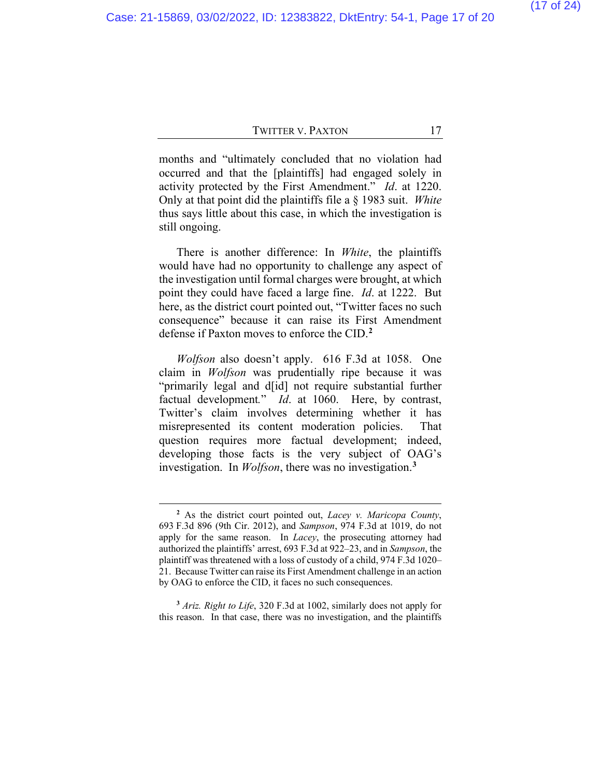months and "ultimately concluded that no violation had occurred and that the [plaintiffs] had engaged solely in activity protected by the First Amendment." *Id*. at 1220. Only at that point did the plaintiffs file a § 1983 suit. *White*  thus says little about this case, in which the investigation is still ongoing.

There is another difference: In *White*, the plaintiffs would have had no opportunity to challenge any aspect of the investigation until formal charges were brought, at which point they could have faced a large fine. *Id*. at 1222. But here, as the district court pointed out, "Twitter faces no such consequence" because it can raise its First Amendment defense if Paxton moves to enforce the CID.**[2](#page-18-0)**

*Wolfson* also doesn't apply. 616 F.3d at 1058. One claim in *Wolfson* was prudentially ripe because it was "primarily legal and d[id] not require substantial further factual development*.*" *Id*. at 1060. Here, by contrast, Twitter's claim involves determining whether it has misrepresented its content moderation policies. That question requires more factual development; indeed, developing those facts is the very subject of OAG's investigation. In *Wolfson*, there was no investigation.**[3](#page-18-0)**

**<sup>2</sup>** As the district court pointed out, *Lacey v. Maricopa County*, 693 F.3d 896 (9th Cir. 2012), and *Sampson*, 974 F.3d at 1019, do not apply for the same reason. In *Lacey*, the prosecuting attorney had authorized the plaintiffs' arrest, 693 F.3d at 922–23, and in *Sampson*, the plaintiff was threatened with a loss of custody of a child, 974 F.3d 1020– 21. Because Twitter can raise its First Amendment challenge in an action by OAG to enforce the CID, it faces no such consequences.

**<sup>3</sup>** *Ariz. Right to Life*, 320 F.3d at 1002, similarly does not apply for this reason. In that case, there was no investigation, and the plaintiffs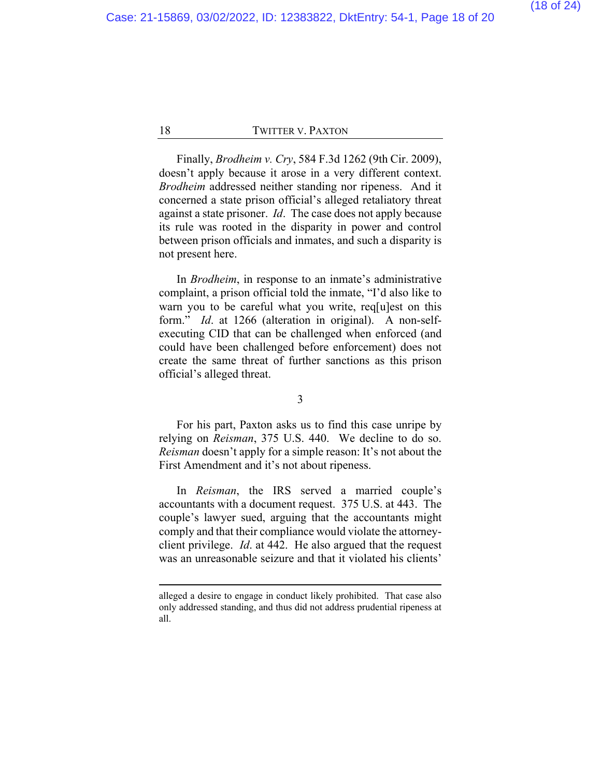Finally, *Brodheim v. Cry*, 584 F.3d 1262 (9th Cir. 2009), doesn't apply because it arose in a very different context. *Brodheim* addressed neither standing nor ripeness. And it concerned a state prison official's alleged retaliatory threat against a state prisoner. *Id*. The case does not apply because its rule was rooted in the disparity in power and control between prison officials and inmates, and such a disparity is not present here.

In *Brodheim*, in response to an inmate's administrative complaint, a prison official told the inmate, "I'd also like to warn you to be careful what you write, req[u]est on this form." *Id*. at 1266 (alteration in original). A non-selfexecuting CID that can be challenged when enforced (and could have been challenged before enforcement) does not create the same threat of further sanctions as this prison official's alleged threat.

3

For his part, Paxton asks us to find this case unripe by relying on *Reisman*, 375 U.S. 440. We decline to do so. *Reisman* doesn't apply for a simple reason: It's not about the First Amendment and it's not about ripeness.

In *Reisman*, the IRS served a married couple's accountants with a document request. 375 U.S. at 443. The couple's lawyer sued, arguing that the accountants might comply and that their compliance would violate the attorneyclient privilege. *Id*. at 442. He also argued that the request was an unreasonable seizure and that it violated his clients'

alleged a desire to engage in conduct likely prohibited. That case also only addressed standing, and thus did not address prudential ripeness at all.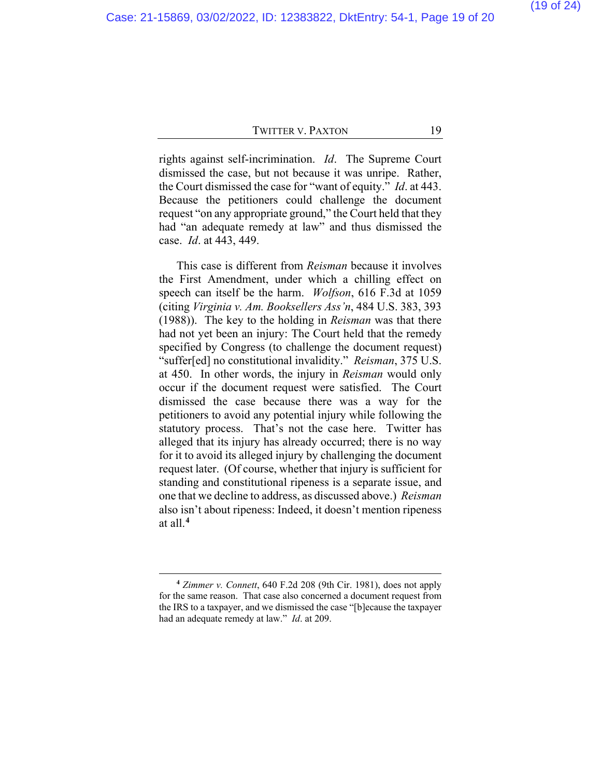rights against self-incrimination. *Id*. The Supreme Court dismissed the case, but not because it was unripe. Rather, the Court dismissed the case for "want of equity." *Id*. at 443. Because the petitioners could challenge the document request "on any appropriate ground," the Court held that they had "an adequate remedy at law" and thus dismissed the case. *Id*. at 443, 449.

This case is different from *Reisman* because it involves the First Amendment, under which a chilling effect on speech can itself be the harm. *Wolfson*, 616 F.3d at 1059 (citing *Virginia v. Am. Booksellers Ass'n*, 484 U.S. 383, 393 (1988)). The key to the holding in *Reisman* was that there had not yet been an injury: The Court held that the remedy specified by Congress (to challenge the document request) "suffer[ed] no constitutional invalidity." *Reisman*, 375 U.S. at 450. In other words, the injury in *Reisman* would only occur if the document request were satisfied. The Court dismissed the case because there was a way for the petitioners to avoid any potential injury while following the statutory process. That's not the case here. Twitter has alleged that its injury has already occurred; there is no way for it to avoid its alleged injury by challenging the document request later. (Of course, whether that injury is sufficient for standing and constitutional ripeness is a separate issue, and one that we decline to address, as discussed above.) *Reisman* also isn't about ripeness: Indeed, it doesn't mention ripeness at all.**[4](#page-18-0)**

<span id="page-18-0"></span>**<sup>4</sup>** *Zimmer v. Connett*, 640 F.2d 208 (9th Cir. 1981), does not apply for the same reason. That case also concerned a document request from the IRS to a taxpayer, and we dismissed the case "[b]ecause the taxpayer had an adequate remedy at law." *Id*. at 209.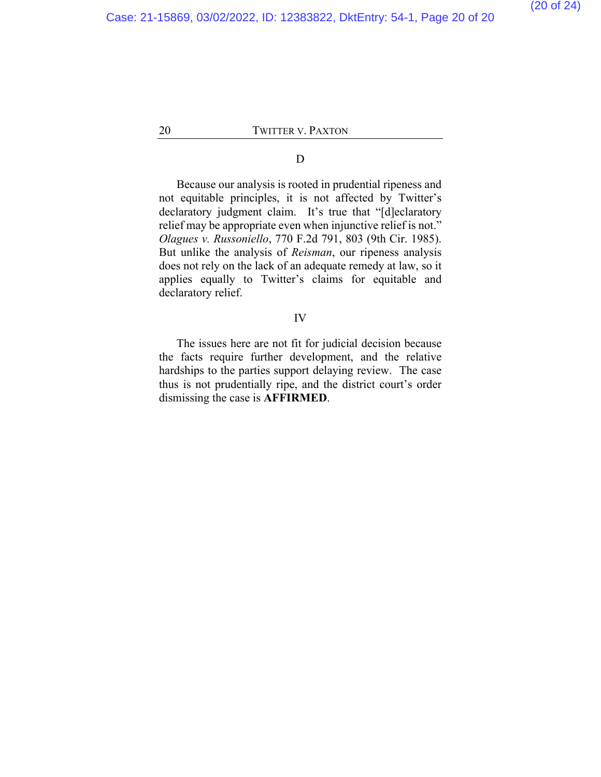### D

Because our analysis is rooted in prudential ripeness and not equitable principles, it is not affected by Twitter's declaratory judgment claim. It's true that "[d]eclaratory relief may be appropriate even when injunctive relief is not." *Olagues v. Russoniello*, 770 F.2d 791, 803 (9th Cir. 1985). But unlike the analysis of *Reisman*, our ripeness analysis does not rely on the lack of an adequate remedy at law, so it applies equally to Twitter's claims for equitable and declaratory relief.

#### IV

The issues here are not fit for judicial decision because the facts require further development, and the relative hardships to the parties support delaying review. The case thus is not prudentially ripe, and the district court's order dismissing the case is **AFFIRMED**.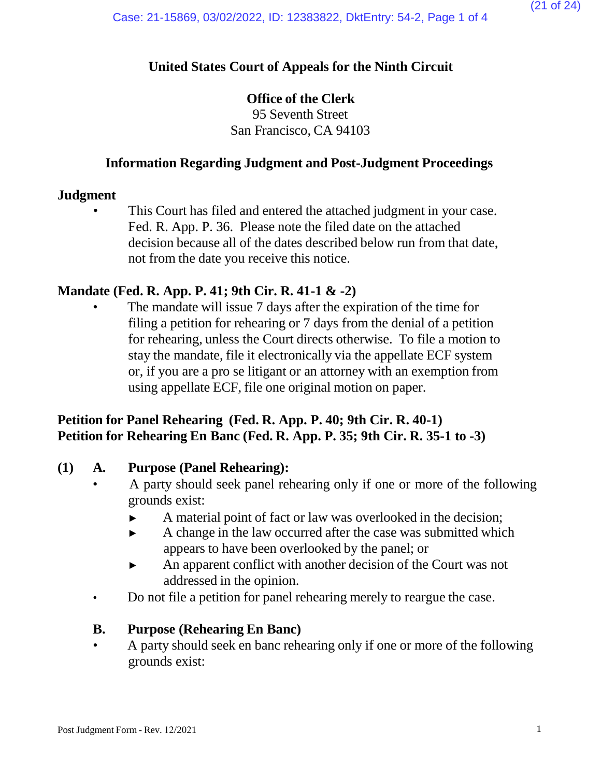## **United States Court of Appeals for the Ninth Circuit**

## **Office of the Clerk**

95 Seventh Street San Francisco, CA 94103

## **Information Regarding Judgment and Post-Judgment Proceedings**

### **Judgment**

This Court has filed and entered the attached judgment in your case. Fed. R. App. P. 36. Please note the filed date on the attached decision because all of the dates described below run from that date, not from the date you receive this notice.

## **Mandate (Fed. R. App. P. 41; 9th Cir. R. 41-1 & -2)**

The mandate will issue 7 days after the expiration of the time for filing a petition for rehearing or 7 days from the denial of a petition for rehearing, unless the Court directs otherwise. To file a motion to stay the mandate, file it electronically via the appellate ECF system or, if you are a pro se litigant or an attorney with an exemption from using appellate ECF, file one original motion on paper.

# **Petition for Panel Rehearing (Fed. R. App. P. 40; 9th Cir. R. 40-1) Petition for Rehearing En Banc (Fed. R. App. P. 35; 9th Cir. R. 35-1 to -3)**

## **(1) A. Purpose (Panel Rehearing):**

- A party should seek panel rehearing only if one or more of the following grounds exist:
	- ► A material point of fact or law was overlooked in the decision;
	- ► A change in the law occurred after the case was submitted which appears to have been overlooked by the panel; or
	- ► An apparent conflict with another decision of the Court was not addressed in the opinion.
- Do not file a petition for panel rehearing merely to reargue the case.

## **B. Purpose (Rehearing En Banc)**

• A party should seek en banc rehearing only if one or more of the following grounds exist: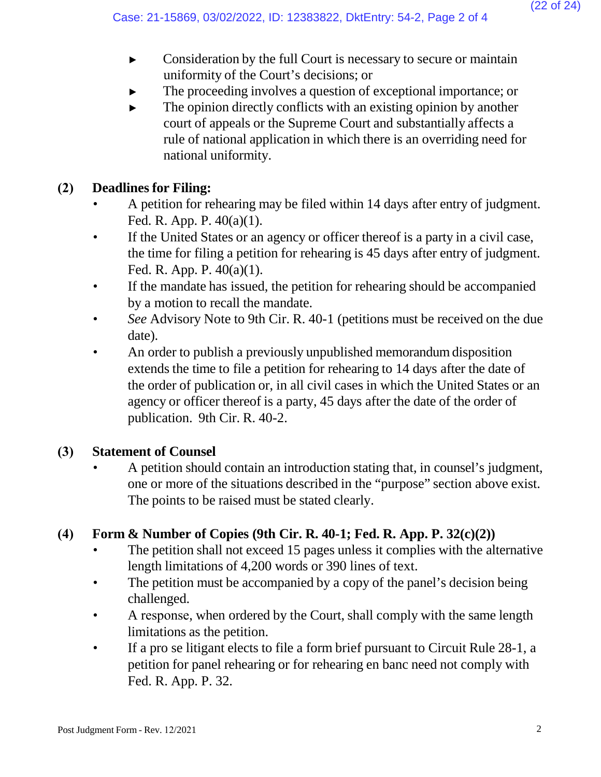- ► Consideration by the full Court is necessary to secure or maintain uniformity of the Court's decisions; or
- The proceeding involves a question of exceptional importance; or
- $\blacktriangleright$  The opinion directly conflicts with an existing opinion by another court of appeals or the Supreme Court and substantially affects a rule of national application in which there is an overriding need for national uniformity.

# **(2) Deadlines for Filing:**

- A petition for rehearing may be filed within 14 days after entry of judgment. Fed. R. App. P. 40(a)(1).
- If the United States or an agency or officer thereof is a party in a civil case, the time for filing a petition for rehearing is 45 days after entry of judgment. Fed. R. App. P. 40(a)(1).
- If the mandate has issued, the petition for rehearing should be accompanied by a motion to recall the mandate.
- *See* Advisory Note to 9th Cir. R. 40-1 (petitions must be received on the due date).
- An order to publish a previously unpublished memorandum disposition extends the time to file a petition for rehearing to 14 days after the date of the order of publication or, in all civil cases in which the United States or an agency or officer thereof is a party, 45 days after the date of the order of publication. 9th Cir. R. 40-2.

# **(3) Statement of Counsel**

• A petition should contain an introduction stating that, in counsel's judgment, one or more of the situations described in the "purpose" section above exist. The points to be raised must be stated clearly.

# **(4) Form & Number of Copies (9th Cir. R. 40-1; Fed. R. App. P. 32(c)(2))**

- The petition shall not exceed 15 pages unless it complies with the alternative length limitations of 4,200 words or 390 lines of text.
- The petition must be accompanied by a copy of the panel's decision being challenged.
- A response, when ordered by the Court, shall comply with the same length limitations as the petition.
- If a pro se litigant elects to file a form brief pursuant to Circuit Rule 28-1, a petition for panel rehearing or for rehearing en banc need not comply with Fed. R. App. P. 32.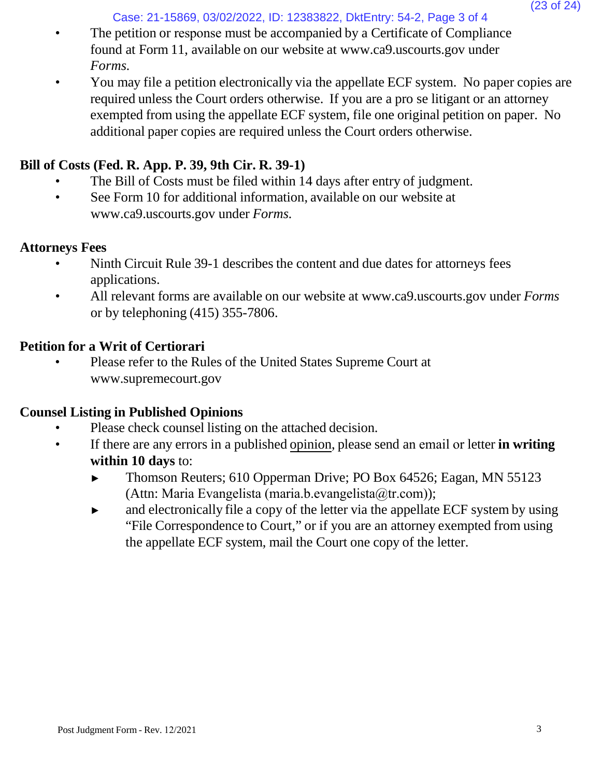Case: 21-15869, 03/02/2022, ID: 12383822, DktEntry: 54-2, Page 3 of 4

- The petition or response must be accompanied by a Certificate of Compliance found at Form 11, available on our website at [www.ca9.uscourts.gov](http://www.ca9.uscourts.gov/) under *Forms.*
- You may file a petition electronically via the appellate ECF system. No paper copies are required unless the Court orders otherwise. If you are a pro se litigant or an attorney exempted from using the appellate ECF system, file one original petition on paper. No additional paper copies are required unless the Court orders otherwise.

# **Bill of Costs (Fed. R. App. P. 39, 9th Cir. R. 39-1)**

- The Bill of Costs must be filed within 14 days after entry of judgment.
- See Form 10 for addi[t](http://www.ca9.uscourts.gov/)ional information, available on our website at [www.ca9.uscourts.gov](http://www.ca9.uscourts.gov/) under *Forms.*

# **Attorneys Fees**

- Ninth Circuit Rule 39-1 describes the content and due dates for attorneys fees applications.
- All relevant forms are available on our website at [www.ca9.uscourts.gov](http://www.ca9.uscourts.gov/) under *Forms* or by telephoning (415) 355-7806.

# **Petition for a Writ of Certiorari**

• Please refer to the Rules of the United States Supreme Court a[t](http://www.supremecourt.gov/) [www.supremecourt.gov](http://www.supremecourt.gov/)

# **Counsel Listing in Published Opinions**

- Please check counsel listing on the attached decision.
- If there are any errors in a published opinion, please send an email or letter **in writing within 10 days** to:
	- ► Thomson Reuters; 610 Opperman Drive; PO Box 64526; Eagan, MN 55123 (Attn: Maria Evangelista (maria.b.evangelista@tr.com));
	- ► and electronically file a copy of the letter via the appellate ECF system by using "File Correspondence to Court," or if you are an attorney exempted from using the appellate ECF system, mail the Court one copy of the letter.